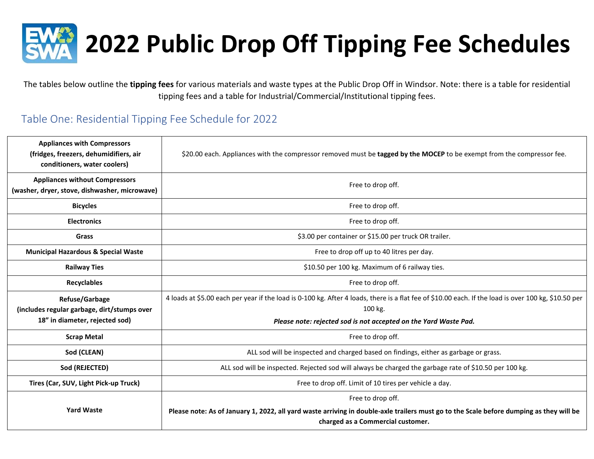

The tables below outline the **tipping fees** for various materials and waste types at the Public Drop Off in Windsor. Note: there is a table for residential tipping fees and a table for Industrial/Commercial/Institutional tipping fees.

## Table One: Residential Tipping Fee Schedule for 2022

| <b>Appliances with Compressors</b><br>(fridges, freezers, dehumidifiers, air<br>conditioners, water coolers) | \$20.00 each. Appliances with the compressor removed must be tagged by the MOCEP to be exempt from the compressor fee.                                                                                                              |
|--------------------------------------------------------------------------------------------------------------|-------------------------------------------------------------------------------------------------------------------------------------------------------------------------------------------------------------------------------------|
| <b>Appliances without Compressors</b><br>(washer, dryer, stove, dishwasher, microwave)                       | Free to drop off.                                                                                                                                                                                                                   |
| <b>Bicycles</b>                                                                                              | Free to drop off.                                                                                                                                                                                                                   |
| <b>Electronics</b>                                                                                           | Free to drop off.                                                                                                                                                                                                                   |
| <b>Grass</b>                                                                                                 | \$3.00 per container or \$15.00 per truck OR trailer.                                                                                                                                                                               |
| <b>Municipal Hazardous &amp; Special Waste</b>                                                               | Free to drop off up to 40 litres per day.                                                                                                                                                                                           |
| <b>Railway Ties</b>                                                                                          | \$10.50 per 100 kg. Maximum of 6 railway ties.                                                                                                                                                                                      |
| <b>Recyclables</b>                                                                                           | Free to drop off.                                                                                                                                                                                                                   |
| Refuse/Garbage<br>(includes regular garbage, dirt/stumps over<br>18" in diameter, rejected sod)              | 4 loads at \$5.00 each per year if the load is 0-100 kg. After 4 loads, there is a flat fee of \$10.00 each. If the load is over 100 kg, \$10.50 per<br>100 kg.<br>Please note: rejected sod is not accepted on the Yard Waste Pad. |
| <b>Scrap Metal</b>                                                                                           | Free to drop off.                                                                                                                                                                                                                   |
| Sod (CLEAN)                                                                                                  | ALL sod will be inspected and charged based on findings, either as garbage or grass.                                                                                                                                                |
| Sod (REJECTED)                                                                                               | ALL sod will be inspected. Rejected sod will always be charged the garbage rate of \$10.50 per 100 kg.                                                                                                                              |
| Tires (Car, SUV, Light Pick-up Truck)                                                                        | Free to drop off. Limit of 10 tires per vehicle a day.                                                                                                                                                                              |
| <b>Yard Waste</b>                                                                                            | Free to drop off.<br>Please note: As of January 1, 2022, all yard waste arriving in double-axle trailers must go to the Scale before dumping as they will be<br>charged as a Commercial customer.                                   |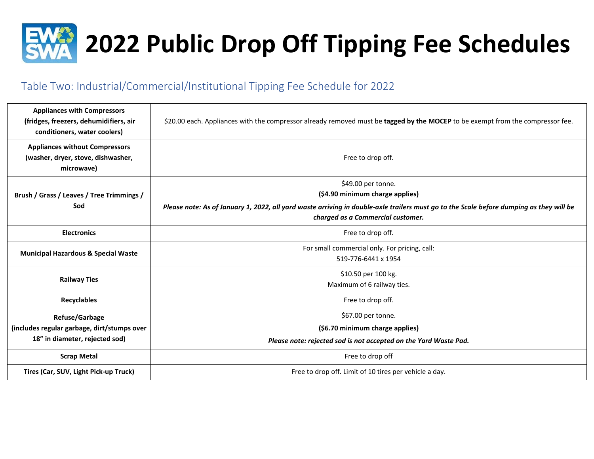

# Table Two: Industrial/Commercial/Institutional Tipping Fee Schedule for 2022

| <b>Appliances with Compressors</b><br>(fridges, freezers, dehumidifiers, air<br>conditioners, water coolers) | \$20.00 each. Appliances with the compressor already removed must be tagged by the MOCEP to be exempt from the compressor fee.                                                                                                        |
|--------------------------------------------------------------------------------------------------------------|---------------------------------------------------------------------------------------------------------------------------------------------------------------------------------------------------------------------------------------|
| <b>Appliances without Compressors</b><br>(washer, dryer, stove, dishwasher,<br>microwave)                    | Free to drop off.                                                                                                                                                                                                                     |
| Brush / Grass / Leaves / Tree Trimmings /<br>Sod                                                             | \$49.00 per tonne.<br>(\$4.90 minimum charge applies)<br>Please note: As of January 1, 2022, all yard waste arriving in double-axle trailers must go to the Scale before dumping as they will be<br>charged as a Commercial customer. |
| <b>Electronics</b>                                                                                           | Free to drop off.                                                                                                                                                                                                                     |
| <b>Municipal Hazardous &amp; Special Waste</b>                                                               | For small commercial only. For pricing, call:<br>519-776-6441 x 1954                                                                                                                                                                  |
| <b>Railway Ties</b>                                                                                          | \$10.50 per 100 kg.<br>Maximum of 6 railway ties.                                                                                                                                                                                     |
| <b>Recyclables</b>                                                                                           | Free to drop off.                                                                                                                                                                                                                     |
| <b>Refuse/Garbage</b><br>(includes regular garbage, dirt/stumps over<br>18" in diameter, rejected sod)       | \$67.00 per tonne.<br>(\$6.70 minimum charge applies)<br>Please note: rejected sod is not accepted on the Yard Waste Pad.                                                                                                             |
| <b>Scrap Metal</b>                                                                                           | Free to drop off                                                                                                                                                                                                                      |
| Tires (Car, SUV, Light Pick-up Truck)                                                                        | Free to drop off. Limit of 10 tires per vehicle a day.                                                                                                                                                                                |